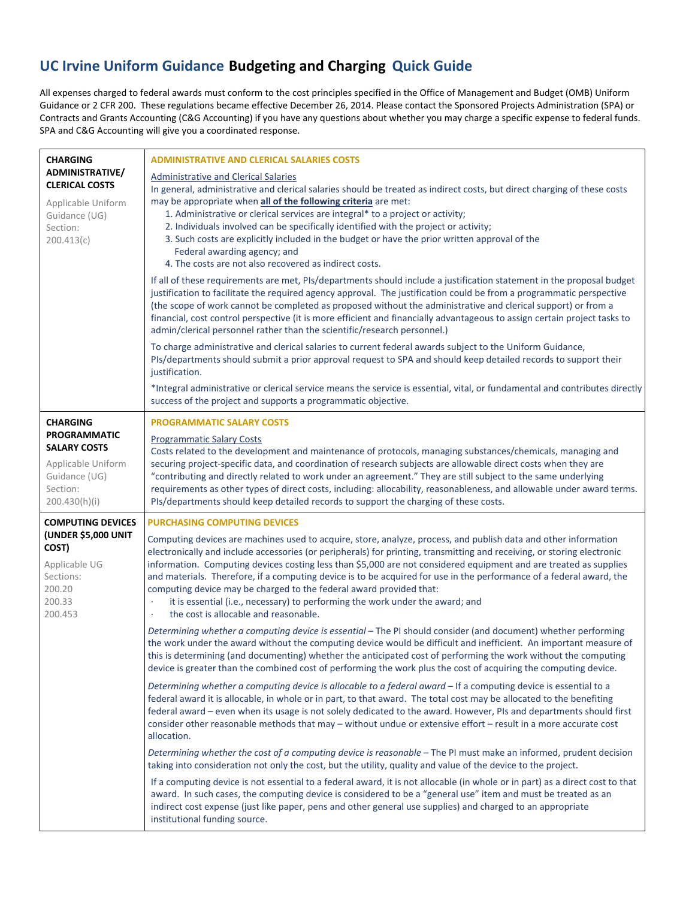## **UC Irvine Uniform Guidance Budgeting and Charging Quick Guide**

All expenses charged to federal awards must conform to the cost principles specified in the Office of Management and Budget (OMB) Uniform Guidance or 2 CFR 200. These regulations became effective December 26, 2014. Please contact the Sponsored Projects Administration (SPA) or Contracts and Grants Accounting (C&G Accounting) if you have any questions about whether you may charge a specific expense to federal funds. SPA and C&G Accounting will give you a coordinated response.

| <b>CHARGING</b><br>ADMINISTRATIVE/<br><b>CLERICAL COSTS</b><br>Applicable Uniform<br>Guidance (UG)<br>Section:<br>200.413(c)      | <b>ADMINISTRATIVE AND CLERICAL SALARIES COSTS</b><br><b>Administrative and Clerical Salaries</b><br>In general, administrative and clerical salaries should be treated as indirect costs, but direct charging of these costs<br>may be appropriate when all of the following criteria are met:<br>1. Administrative or clerical services are integral* to a project or activity;<br>2. Individuals involved can be specifically identified with the project or activity;<br>3. Such costs are explicitly included in the budget or have the prior written approval of the<br>Federal awarding agency; and<br>4. The costs are not also recovered as indirect costs.<br>If all of these requirements are met, PIs/departments should include a justification statement in the proposal budget<br>justification to facilitate the required agency approval. The justification could be from a programmatic perspective<br>(the scope of work cannot be completed as proposed without the administrative and clerical support) or from a<br>financial, cost control perspective (it is more efficient and financially advantageous to assign certain project tasks to<br>admin/clerical personnel rather than the scientific/research personnel.)<br>To charge administrative and clerical salaries to current federal awards subject to the Uniform Guidance,<br>PIs/departments should submit a prior approval request to SPA and should keep detailed records to support their<br>justification. |
|-----------------------------------------------------------------------------------------------------------------------------------|--------------------------------------------------------------------------------------------------------------------------------------------------------------------------------------------------------------------------------------------------------------------------------------------------------------------------------------------------------------------------------------------------------------------------------------------------------------------------------------------------------------------------------------------------------------------------------------------------------------------------------------------------------------------------------------------------------------------------------------------------------------------------------------------------------------------------------------------------------------------------------------------------------------------------------------------------------------------------------------------------------------------------------------------------------------------------------------------------------------------------------------------------------------------------------------------------------------------------------------------------------------------------------------------------------------------------------------------------------------------------------------------------------------------------------------------------------------------------------------------------|
|                                                                                                                                   | *Integral administrative or clerical service means the service is essential, vital, or fundamental and contributes directly<br>success of the project and supports a programmatic objective.                                                                                                                                                                                                                                                                                                                                                                                                                                                                                                                                                                                                                                                                                                                                                                                                                                                                                                                                                                                                                                                                                                                                                                                                                                                                                                     |
| <b>CHARGING</b><br><b>PROGRAMMATIC</b><br><b>SALARY COSTS</b><br>Applicable Uniform<br>Guidance (UG)<br>Section:<br>200.430(h)(i) | <b>PROGRAMMATIC SALARY COSTS</b><br><b>Programmatic Salary Costs</b><br>Costs related to the development and maintenance of protocols, managing substances/chemicals, managing and<br>securing project-specific data, and coordination of research subjects are allowable direct costs when they are<br>"contributing and directly related to work under an agreement." They are still subject to the same underlying<br>requirements as other types of direct costs, including: allocability, reasonableness, and allowable under award terms.<br>PIs/departments should keep detailed records to support the charging of these costs.                                                                                                                                                                                                                                                                                                                                                                                                                                                                                                                                                                                                                                                                                                                                                                                                                                                          |
| <b>COMPUTING DEVICES</b><br>(UNDER \$5,000 UNIT<br>COST)<br>Applicable UG<br>Sections:<br>200.20<br>200.33<br>200.453             | <b>PURCHASING COMPUTING DEVICES</b><br>Computing devices are machines used to acquire, store, analyze, process, and publish data and other information<br>electronically and include accessories (or peripherals) for printing, transmitting and receiving, or storing electronic<br>information. Computing devices costing less than \$5,000 are not considered equipment and are treated as supplies<br>and materials. Therefore, if a computing device is to be acquired for use in the performance of a federal award, the<br>computing device may be charged to the federal award provided that:<br>it is essential (i.e., necessary) to performing the work under the award; and<br>the cost is allocable and reasonable.                                                                                                                                                                                                                                                                                                                                                                                                                                                                                                                                                                                                                                                                                                                                                                  |
|                                                                                                                                   | Determining whether a computing device is essential - The PI should consider (and document) whether performing<br>the work under the award without the computing device would be difficult and inefficient. An important measure of<br>this is determining (and documenting) whether the anticipated cost of performing the work without the computing<br>device is greater than the combined cost of performing the work plus the cost of acquiring the computing device.                                                                                                                                                                                                                                                                                                                                                                                                                                                                                                                                                                                                                                                                                                                                                                                                                                                                                                                                                                                                                       |
|                                                                                                                                   | Determining whether a computing device is allocable to a federal award - If a computing device is essential to a<br>federal award it is allocable, in whole or in part, to that award. The total cost may be allocated to the benefiting<br>federal award - even when its usage is not solely dedicated to the award. However, PIs and departments should first<br>consider other reasonable methods that may - without undue or extensive effort - result in a more accurate cost<br>allocation.                                                                                                                                                                                                                                                                                                                                                                                                                                                                                                                                                                                                                                                                                                                                                                                                                                                                                                                                                                                                |
|                                                                                                                                   | Determining whether the cost of a computing device is reasonable - The PI must make an informed, prudent decision<br>taking into consideration not only the cost, but the utility, quality and value of the device to the project.                                                                                                                                                                                                                                                                                                                                                                                                                                                                                                                                                                                                                                                                                                                                                                                                                                                                                                                                                                                                                                                                                                                                                                                                                                                               |
|                                                                                                                                   | If a computing device is not essential to a federal award, it is not allocable (in whole or in part) as a direct cost to that<br>award. In such cases, the computing device is considered to be a "general use" item and must be treated as an<br>indirect cost expense (just like paper, pens and other general use supplies) and charged to an appropriate<br>institutional funding source.                                                                                                                                                                                                                                                                                                                                                                                                                                                                                                                                                                                                                                                                                                                                                                                                                                                                                                                                                                                                                                                                                                    |